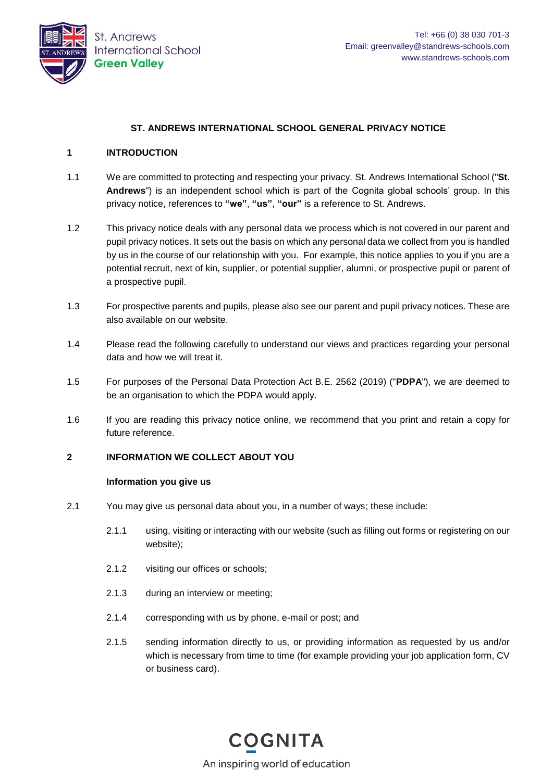

# **ST. ANDREWS INTERNATIONAL SCHOOL GENERAL PRIVACY NOTICE**

### **1 INTRODUCTION**

- 1.1 We are committed to protecting and respecting your privacy. St. Andrews International School ("**St. Andrews**") is an independent school which is part of the Cognita global schools' group. In this privacy notice, references to **"we"**, **"us"**, **"our"** is a reference to St. Andrews.
- 1.2 This privacy notice deals with any personal data we process which is not covered in our parent and pupil privacy notices. It sets out the basis on which any personal data we collect from you is handled by us in the course of our relationship with you. For example, this notice applies to you if you are a potential recruit, next of kin, supplier, or potential supplier, alumni, or prospective pupil or parent of a prospective pupil.
- 1.3 For prospective parents and pupils, please also see our parent and pupil privacy notices. These are also available on our website.
- 1.4 Please read the following carefully to understand our views and practices regarding your personal data and how we will treat it.
- 1.5 For purposes of the Personal Data Protection Act B.E. 2562 (2019) ("**PDPA**"), we are deemed to be an organisation to which the PDPA would apply.
- 1.6 If you are reading this privacy notice online, we recommend that you print and retain a copy for future reference.

### **2 INFORMATION WE COLLECT ABOUT YOU**

#### **Information you give us**

- 2.1 You may give us personal data about you, in a number of ways; these include:
	- 2.1.1 using, visiting or interacting with our website (such as filling out forms or registering on our website);
	- 2.1.2 visiting our offices or schools;
	- 2.1.3 during an interview or meeting;
	- 2.1.4 corresponding with us by phone, e-mail or post; and
	- 2.1.5 sending information directly to us, or providing information as requested by us and/or which is necessary from time to time (for example providing your job application form, CV or business card).

**COGNITA** An inspiring world of education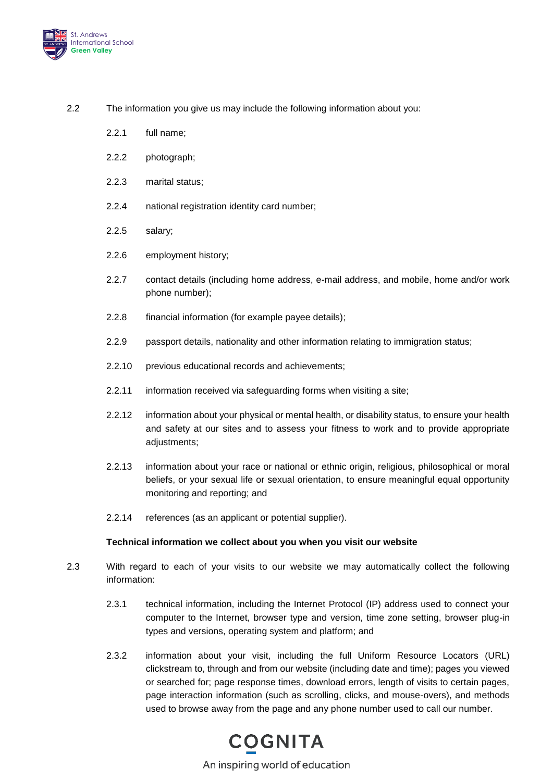

- 2.2 The information you give us may include the following information about you:
	- 2.2.1 full name;
	- 2.2.2 photograph;
	- 2.2.3 marital status;
	- 2.2.4 national registration identity card number;
	- 2.2.5 salary;
	- 2.2.6 employment history;
	- 2.2.7 contact details (including home address, e-mail address, and mobile, home and/or work phone number);
	- 2.2.8 financial information (for example payee details);
	- 2.2.9 passport details, nationality and other information relating to immigration status;
	- 2.2.10 previous educational records and achievements;
	- 2.2.11 information received via safeguarding forms when visiting a site;
	- 2.2.12 information about your physical or mental health, or disability status, to ensure your health and safety at our sites and to assess your fitness to work and to provide appropriate adjustments;
	- 2.2.13 information about your race or national or ethnic origin, religious, philosophical or moral beliefs, or your sexual life or sexual orientation, to ensure meaningful equal opportunity monitoring and reporting; and
	- 2.2.14 references (as an applicant or potential supplier).

#### **Technical information we collect about you when you visit our website**

- 2.3 With regard to each of your visits to our website we may automatically collect the following information:
	- 2.3.1 technical information, including the Internet Protocol (IP) address used to connect your computer to the Internet, browser type and version, time zone setting, browser plug-in types and versions, operating system and platform; and
	- 2.3.2 information about your visit, including the full Uniform Resource Locators (URL) clickstream to, through and from our website (including date and time); pages you viewed or searched for; page response times, download errors, length of visits to certain pages, page interaction information (such as scrolling, clicks, and mouse-overs), and methods used to browse away from the page and any phone number used to call our number.

An inspiring world of education

**COGNITA**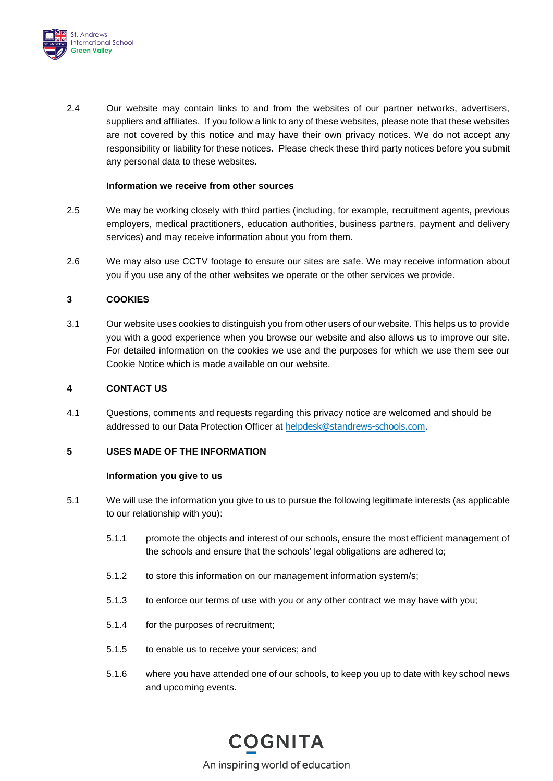

2.4 Our website may contain links to and from the websites of our partner networks, advertisers, suppliers and affiliates. If you follow a link to any of these websites, please note that these websites are not covered by this notice and may have their own privacy notices. We do not accept any responsibility or liability for these notices. Please check these third party notices before you submit any personal data to these websites.

### **Information we receive from other sources**

- 2.5 We may be working closely with third parties (including, for example, recruitment agents, previous employers, medical practitioners, education authorities, business partners, payment and delivery services) and may receive information about you from them.
- 2.6 We may also use CCTV footage to ensure our sites are safe. We may receive information about you if you use any of the other websites we operate or the other services we provide.

# **3 COOKIES**

3.1 Our website uses cookies to distinguish you from other users of our website. This helps us to provide you with a good experience when you browse our website and also allows us to improve our site. For detailed information on the cookies we use and the purposes for which we use them see our Cookie Notice which is made available on our website.

### <span id="page-2-2"></span>**4 CONTACT US**

4.1 Questions, comments and requests regarding this privacy notice are welcomed and should be addressed to our Data Protection Officer at [helpdesk@standrews-schools.com.](mailto:helpdesk@standrews-schools.com)

#### **5 USES MADE OF THE INFORMATION**

#### **Information you give to us**

- <span id="page-2-3"></span><span id="page-2-0"></span>5.1 We will use the information you give to us to pursue the following legitimate interests (as applicable to our relationship with you):
	- 5.1.1 promote the objects and interest of our schools, ensure the most efficient management of the schools and ensure that the schools' legal obligations are adhered to;
	- 5.1.2 to store this information on our management information system/s;
	- 5.1.3 to enforce our terms of use with you or any other contract we may have with you;
	- 5.1.4 for the purposes of recruitment;
	- 5.1.5 to enable us to receive your services; and
	- 5.1.6 where you have attended one of our schools, to keep you up to date with key school news and upcoming events.

<span id="page-2-1"></span>**COGNITA** An inspiring world of education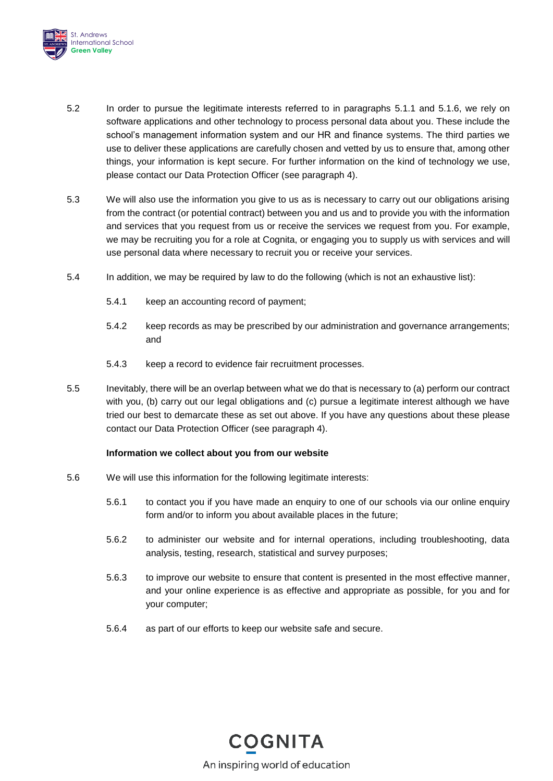

- <span id="page-3-0"></span>5.2 In order to pursue the legitimate interests referred to in paragraphs [5.1.1](#page-2-0) and [5.1.6,](#page-2-1) we rely on software applications and other technology to process personal data about you. These include the school's management information system and our HR and finance systems. The third parties we use to deliver these applications are carefully chosen and vetted by us to ensure that, among other things, your information is kept secure. For further information on the kind of technology we use, please contact our Data Protection Officer (see paragraph [4\)](#page-2-2).
- 5.3 We will also use the information you give to us as is necessary to carry out our obligations arising from the contract (or potential contract) between you and us and to provide you with the information and services that you request from us or receive the services we request from you. For example, we may be recruiting you for a role at Cognita, or engaging you to supply us with services and will use personal data where necessary to recruit you or receive your services.
- 5.4 In addition, we may be required by law to do the following (which is not an exhaustive list):
	- 5.4.1 keep an accounting record of payment;
	- 5.4.2 keep records as may be prescribed by our administration and governance arrangements; and
	- 5.4.3 keep a record to evidence fair recruitment processes.
- 5.5 Inevitably, there will be an overlap between what we do that is necessary to (a) perform our contract with you, (b) carry out our legal obligations and (c) pursue a legitimate interest although we have tried our best to demarcate these as set out above. If you have any questions about these please contact our Data Protection Officer (see paragraph [4\)](#page-2-2).

# **Information we collect about you from our website**

- 5.6 We will use this information for the following legitimate interests:
	- 5.6.1 to contact you if you have made an enquiry to one of our schools via our online enquiry form and/or to inform you about available places in the future;
	- 5.6.2 to administer our website and for internal operations, including troubleshooting, data analysis, testing, research, statistical and survey purposes;
	- 5.6.3 to improve our website to ensure that content is presented in the most effective manner, and your online experience is as effective and appropriate as possible, for you and for your computer;
	- 5.6.4 as part of our efforts to keep our website safe and secure.

**COGNITA** An inspiring world of education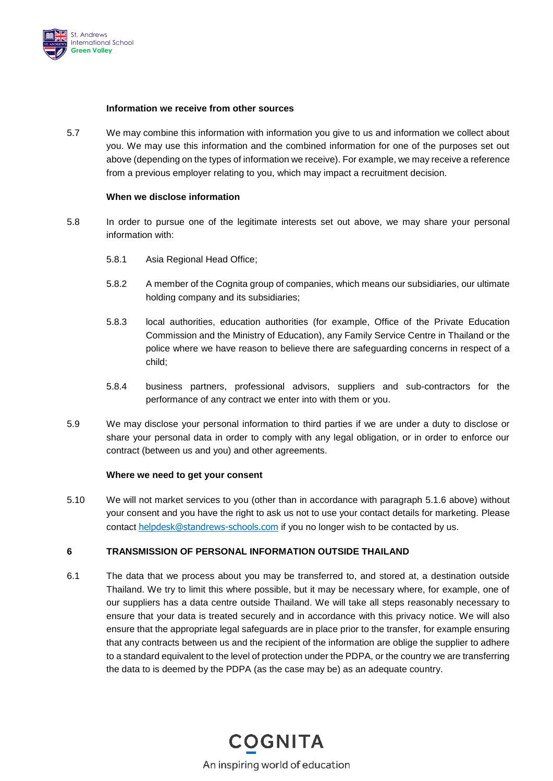

#### **Information we receive from other sources**

5.7 We may combine this information with information you give to us and information we collect about you. We may use this information and the combined information for one of the purposes set out above (depending on the types of information we receive). For example, we may receive a reference from a previous employer relating to you, which may impact a recruitment decision.

### **When we disclose information**

- 5.8 In order to pursue one of the legitimate interests set out above, we may share your personal information with:
	- 5.8.1 Asia Regional Head Office;
	- 5.8.2 A member of the Cognita group of companies, which means our subsidiaries, our ultimate holding company and its subsidiaries;
	- 5.8.3 local authorities, education authorities (for example, Office of the Private Education Commission and the Ministry of Education), any Family Service Centre in Thailand or the police where we have reason to believe there are safeguarding concerns in respect of a child;
	- 5.8.4 business partners, professional advisors, suppliers and sub-contractors for the performance of any contract we enter into with them or you.
- 5.9 We may disclose your personal information to third parties if we are under a duty to disclose or share your personal data in order to comply with any legal obligation, or in order to enforce our contract (between us and you) and other agreements.

### **Where we need to get your consent**

5.10 We will not market services to you (other than in accordance with paragraph [5.1.6](#page-2-1) above) without your consent and you have the right to ask us not to use your contact details for marketing. Please contact [helpdesk@standrews-schools.com](mailto:helpdesk@standrews-schools.com) if you no longer wish to be contacted by us.

# **6 TRANSMISSION OF PERSONAL INFORMATION OUTSIDE THAILAND**

6.1 The data that we process about you may be transferred to, and stored at, a destination outside Thailand. We try to limit this where possible, but it may be necessary where, for example, one of our suppliers has a data centre outside Thailand. We will take all steps reasonably necessary to ensure that your data is treated securely and in accordance with this privacy notice. We will also ensure that the appropriate legal safeguards are in place prior to the transfer, for example ensuring that any contracts between us and the recipient of the information are oblige the supplier to adhere to a standard equivalent to the level of protection under the PDPA, or the country we are transferring the data to is deemed by the PDPA (as the case may be) as an adequate country.

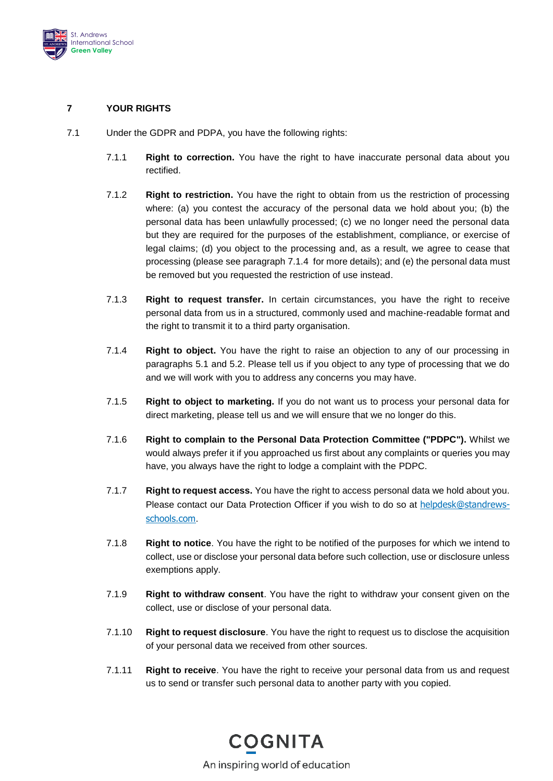

# **7 YOUR RIGHTS**

- <span id="page-5-0"></span>7.1 Under the GDPR and PDPA, you have the following rights:
	- 7.1.1 **Right to correction.** You have the right to have inaccurate personal data about you rectified.
	- 7.1.2 **Right to restriction.** You have the right to obtain from us the restriction of processing where: (a) you contest the accuracy of the personal data we hold about you; (b) the personal data has been unlawfully processed; (c) we no longer need the personal data but they are required for the purposes of the establishment, compliance, or exercise of legal claims; (d) you object to the processing and, as a result, we agree to cease that processing (please see paragraph [7.1.4](#page-5-0) for more details); and (e) the personal data must be removed but you requested the restriction of use instead.
	- 7.1.3 **Right to request transfer.** In certain circumstances, you have the right to receive personal data from us in a structured, commonly used and machine-readable format and the right to transmit it to a third party organisation.
	- 7.1.4 **Right to object.** You have the right to raise an objection to any of our processing in paragraphs [5.1](#page-2-3) and [5.2.](#page-3-0) Please tell us if you object to any type of processing that we do and we will work with you to address any concerns you may have.
	- 7.1.5 **Right to object to marketing.** If you do not want us to process your personal data for direct marketing, please tell us and we will ensure that we no longer do this.
	- 7.1.6 **Right to complain to the Personal Data Protection Committee ("PDPC").** Whilst we would always prefer it if you approached us first about any complaints or queries you may have, you always have the right to lodge a complaint with the PDPC.
	- 7.1.7 **Right to request access.** You have the right to access personal data we hold about you. Please contact our Data Protection Officer if you wish to do so at [helpdesk@standrews](mailto:helpdesk@standrews-schools.com)[schools.com](mailto:helpdesk@standrews-schools.com).
	- 7.1.8 **Right to notice**. You have the right to be notified of the purposes for which we intend to collect, use or disclose your personal data before such collection, use or disclosure unless exemptions apply.
	- 7.1.9 **Right to withdraw consent**. You have the right to withdraw your consent given on the collect, use or disclose of your personal data.
	- 7.1.10 **Right to request disclosure**. You have the right to request us to disclose the acquisition of your personal data we received from other sources.
	- 7.1.11 **Right to receive**. You have the right to receive your personal data from us and request us to send or transfer such personal data to another party with you copied.